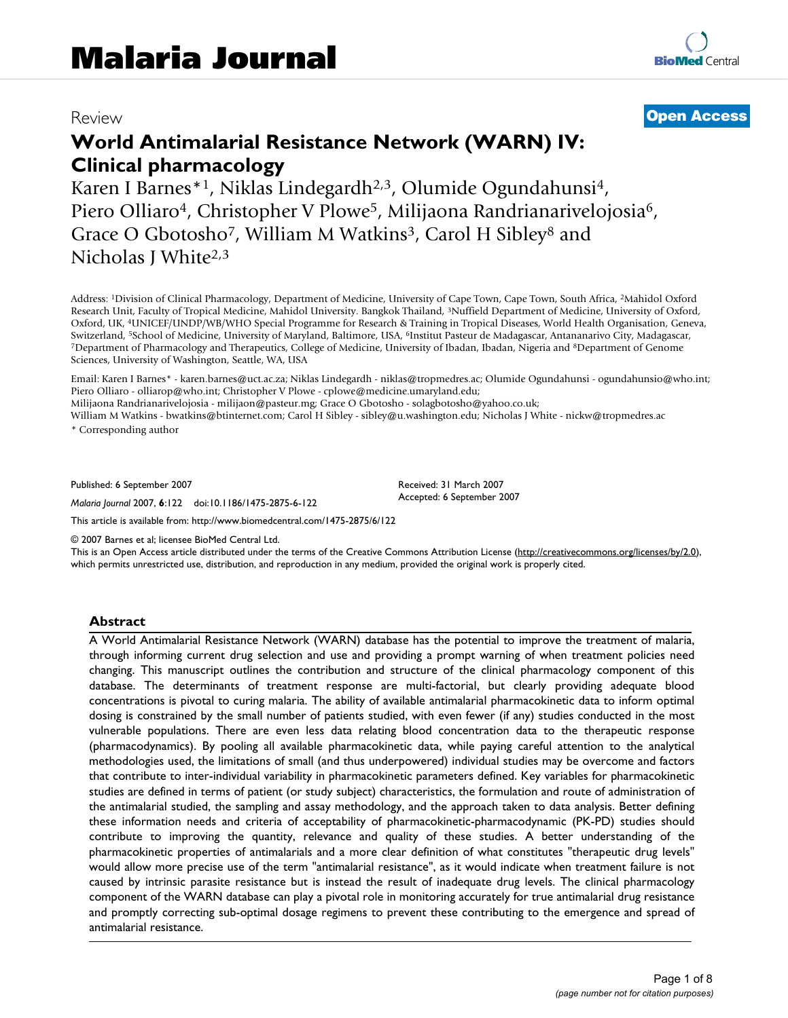## Review **[Open Access](http://www.biomedcentral.com/info/about/charter/)**

# **World Antimalarial Resistance Network (WARN) IV: Clinical pharmacology**

Karen I Barnes<sup>\*1</sup>, Niklas Lindegardh<sup>2,3</sup>, Olumide Ogundahunsi<sup>4</sup>, Piero Olliaro<sup>4</sup>, Christopher V Plowe<sup>5</sup>, Milijaona Randrianarivelojosia<sup>6</sup>, Grace O Gbotosho<sup>7</sup>, William M Watkins<sup>3</sup>, Carol H Sibley<sup>8</sup> and Nicholas J White2,3

Address: 1Division of Clinical Pharmacology, Department of Medicine, University of Cape Town, Cape Town, South Africa, 2Mahidol Oxford Research Unit, Faculty of Tropical Medicine, Mahidol University. Bangkok Thailand, 3Nuffield Department of Medicine, University of Oxford, Oxford, UK, <sup>4</sup>UNICEF/UNDP/WB/WHO Special Programme for Research & Training in Tropical Diseases, World Health Organisation, Geneva,<br>Switzerland, <sup>5</sup>School of Medicine, University of Maryland, Baltimore, USA, <sup>6</sup>Institut P <sup>7</sup>Department of Pharmacology and Therapeutics, College of Medicine, University of Ibadan, Ibadan, Nigeria and <sup>8</sup>Department of Genome Sciences, University of Washington, Seattle, WA, USA

Email: Karen I Barnes\* - karen.barnes@uct.ac.za; Niklas Lindegardh - niklas@tropmedres.ac; Olumide Ogundahunsi - ogundahunsio@who.int; Piero Olliaro - olliarop@who.int; Christopher V Plowe - cplowe@medicine.umaryland.edu;

Milijaona Randrianarivelojosia - milijaon@pasteur.mg; Grace O Gbotosho - solagbotosho@yahoo.co.uk;

William M Watkins - bwatkins@btinternet.com; Carol H Sibley - sibley@u.washington.edu; Nicholas J White - nickw@tropmedres.ac \* Corresponding author

Published: 6 September 2007

*Malaria Journal* 2007, **6**:122 doi:10.1186/1475-2875-6-122

[This article is available from: http://www.biomedcentral.com/1475-2875/6/122](http://www.biomedcentral.com/1475-2875/6/122)

© 2007 Barnes et al; licensee BioMed Central Ltd.

This is an Open Access article distributed under the terms of the Creative Commons Attribution License [\(http://creativecommons.org/licenses/by/2.0\)](http://creativecommons.org/licenses/by/2.0), which permits unrestricted use, distribution, and reproduction in any medium, provided the original work is properly cited.

#### **Abstract**

A World Antimalarial Resistance Network (WARN) database has the potential to improve the treatment of malaria, through informing current drug selection and use and providing a prompt warning of when treatment policies need changing. This manuscript outlines the contribution and structure of the clinical pharmacology component of this database. The determinants of treatment response are multi-factorial, but clearly providing adequate blood concentrations is pivotal to curing malaria. The ability of available antimalarial pharmacokinetic data to inform optimal dosing is constrained by the small number of patients studied, with even fewer (if any) studies conducted in the most vulnerable populations. There are even less data relating blood concentration data to the therapeutic response (pharmacodynamics). By pooling all available pharmacokinetic data, while paying careful attention to the analytical methodologies used, the limitations of small (and thus underpowered) individual studies may be overcome and factors that contribute to inter-individual variability in pharmacokinetic parameters defined. Key variables for pharmacokinetic studies are defined in terms of patient (or study subject) characteristics, the formulation and route of administration of the antimalarial studied, the sampling and assay methodology, and the approach taken to data analysis. Better defining these information needs and criteria of acceptability of pharmacokinetic-pharmacodynamic (PK-PD) studies should contribute to improving the quantity, relevance and quality of these studies. A better understanding of the pharmacokinetic properties of antimalarials and a more clear definition of what constitutes "therapeutic drug levels" would allow more precise use of the term "antimalarial resistance", as it would indicate when treatment failure is not caused by intrinsic parasite resistance but is instead the result of inadequate drug levels. The clinical pharmacology component of the WARN database can play a pivotal role in monitoring accurately for true antimalarial drug resistance and promptly correcting sub-optimal dosage regimens to prevent these contributing to the emergence and spread of antimalarial resistance.

Received: 31 March 2007

Accepted: 6 September 2007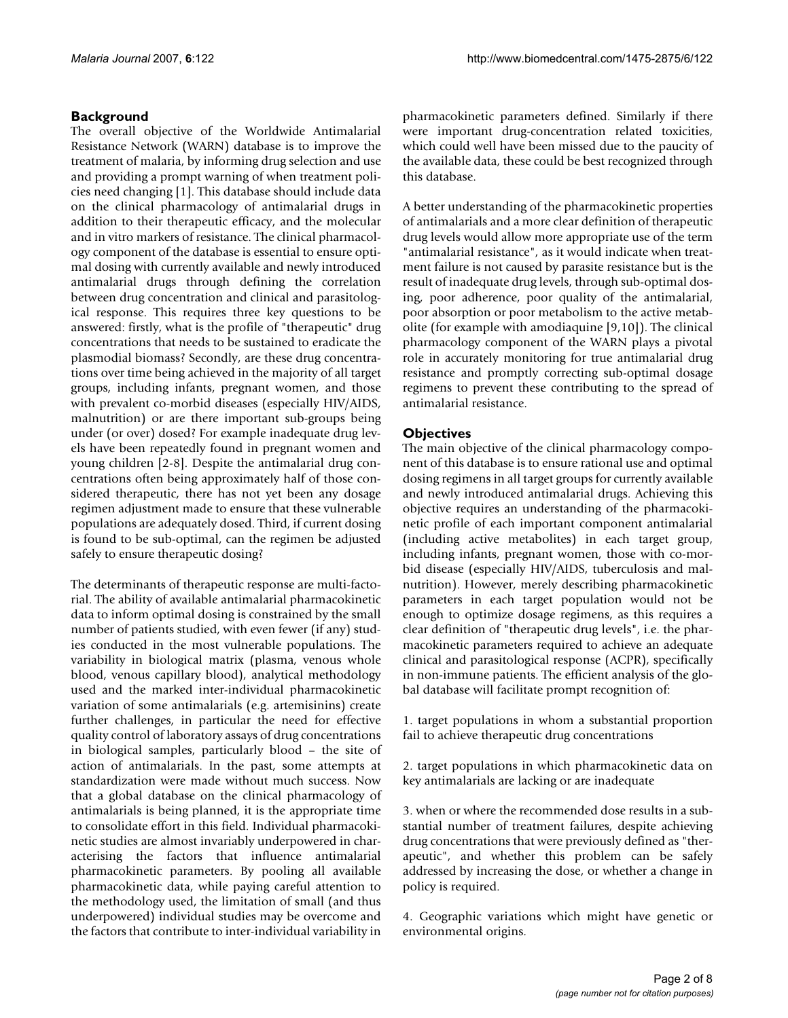## **Background**

The overall objective of the Worldwide Antimalarial Resistance Network (WARN) database is to improve the treatment of malaria, by informing drug selection and use and providing a prompt warning of when treatment policies need changing [1]. This database should include data on the clinical pharmacology of antimalarial drugs in addition to their therapeutic efficacy, and the molecular and in vitro markers of resistance. The clinical pharmacology component of the database is essential to ensure optimal dosing with currently available and newly introduced antimalarial drugs through defining the correlation between drug concentration and clinical and parasitological response. This requires three key questions to be answered: firstly, what is the profile of "therapeutic" drug concentrations that needs to be sustained to eradicate the plasmodial biomass? Secondly, are these drug concentrations over time being achieved in the majority of all target groups, including infants, pregnant women, and those with prevalent co-morbid diseases (especially HIV/AIDS, malnutrition) or are there important sub-groups being under (or over) dosed? For example inadequate drug levels have been repeatedly found in pregnant women and young children [2-8]. Despite the antimalarial drug concentrations often being approximately half of those considered therapeutic, there has not yet been any dosage regimen adjustment made to ensure that these vulnerable populations are adequately dosed. Third, if current dosing is found to be sub-optimal, can the regimen be adjusted safely to ensure therapeutic dosing?

The determinants of therapeutic response are multi-factorial. The ability of available antimalarial pharmacokinetic data to inform optimal dosing is constrained by the small number of patients studied, with even fewer (if any) studies conducted in the most vulnerable populations. The variability in biological matrix (plasma, venous whole blood, venous capillary blood), analytical methodology used and the marked inter-individual pharmacokinetic variation of some antimalarials (e.g. artemisinins) create further challenges, in particular the need for effective quality control of laboratory assays of drug concentrations in biological samples, particularly blood – the site of action of antimalarials. In the past, some attempts at standardization were made without much success. Now that a global database on the clinical pharmacology of antimalarials is being planned, it is the appropriate time to consolidate effort in this field. Individual pharmacokinetic studies are almost invariably underpowered in characterising the factors that influence antimalarial pharmacokinetic parameters. By pooling all available pharmacokinetic data, while paying careful attention to the methodology used, the limitation of small (and thus underpowered) individual studies may be overcome and the factors that contribute to inter-individual variability in

pharmacokinetic parameters defined. Similarly if there were important drug-concentration related toxicities, which could well have been missed due to the paucity of the available data, these could be best recognized through this database.

A better understanding of the pharmacokinetic properties of antimalarials and a more clear definition of therapeutic drug levels would allow more appropriate use of the term "antimalarial resistance", as it would indicate when treatment failure is not caused by parasite resistance but is the result of inadequate drug levels, through sub-optimal dosing, poor adherence, poor quality of the antimalarial, poor absorption or poor metabolism to the active metabolite (for example with amodiaquine [9,10]). The clinical pharmacology component of the WARN plays a pivotal role in accurately monitoring for true antimalarial drug resistance and promptly correcting sub-optimal dosage regimens to prevent these contributing to the spread of antimalarial resistance.

## **Objectives**

The main objective of the clinical pharmacology component of this database is to ensure rational use and optimal dosing regimens in all target groups for currently available and newly introduced antimalarial drugs. Achieving this objective requires an understanding of the pharmacokinetic profile of each important component antimalarial (including active metabolites) in each target group, including infants, pregnant women, those with co-morbid disease (especially HIV/AIDS, tuberculosis and malnutrition). However, merely describing pharmacokinetic parameters in each target population would not be enough to optimize dosage regimens, as this requires a clear definition of "therapeutic drug levels", i.e. the pharmacokinetic parameters required to achieve an adequate clinical and parasitological response (ACPR), specifically in non-immune patients. The efficient analysis of the global database will facilitate prompt recognition of:

1. target populations in whom a substantial proportion fail to achieve therapeutic drug concentrations

2. target populations in which pharmacokinetic data on key antimalarials are lacking or are inadequate

3. when or where the recommended dose results in a substantial number of treatment failures, despite achieving drug concentrations that were previously defined as "therapeutic", and whether this problem can be safely addressed by increasing the dose, or whether a change in policy is required.

4. Geographic variations which might have genetic or environmental origins.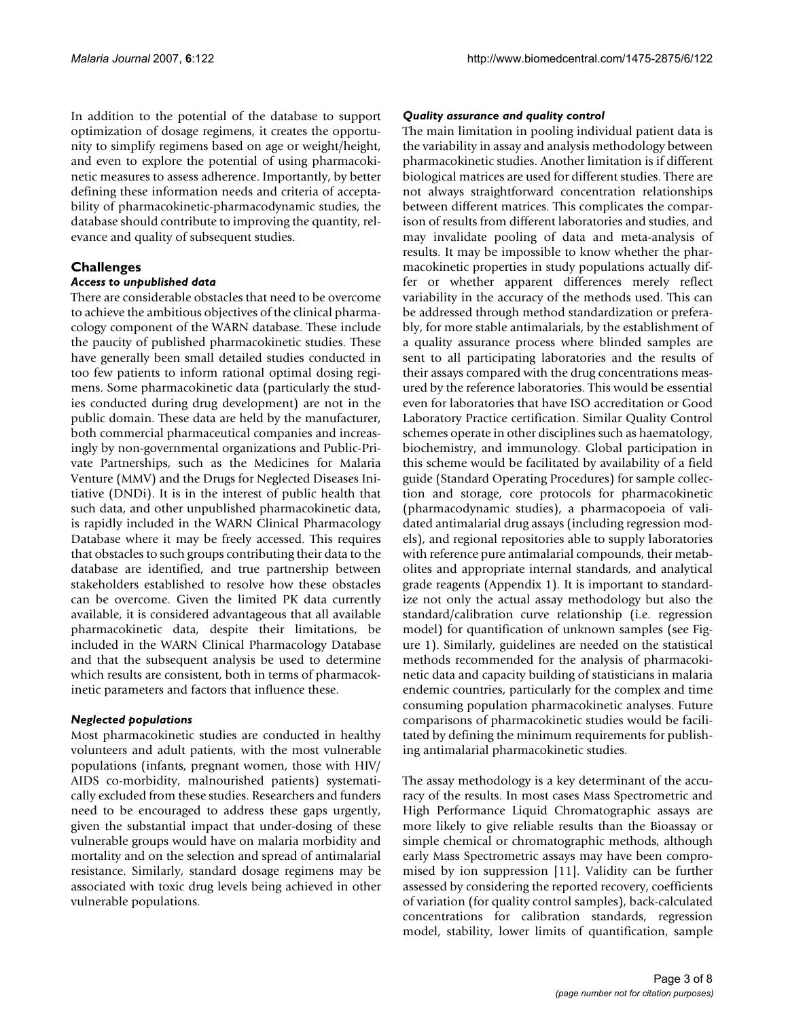In addition to the potential of the database to support optimization of dosage regimens, it creates the opportunity to simplify regimens based on age or weight/height, and even to explore the potential of using pharmacokinetic measures to assess adherence. Importantly, by better defining these information needs and criteria of acceptability of pharmacokinetic-pharmacodynamic studies, the database should contribute to improving the quantity, relevance and quality of subsequent studies.

## **Challenges**

## *Access to unpublished data*

There are considerable obstacles that need to be overcome to achieve the ambitious objectives of the clinical pharmacology component of the WARN database. These include the paucity of published pharmacokinetic studies. These have generally been small detailed studies conducted in too few patients to inform rational optimal dosing regimens. Some pharmacokinetic data (particularly the studies conducted during drug development) are not in the public domain. These data are held by the manufacturer, both commercial pharmaceutical companies and increasingly by non-governmental organizations and Public-Private Partnerships, such as the Medicines for Malaria Venture (MMV) and the Drugs for Neglected Diseases Initiative (DNDi). It is in the interest of public health that such data, and other unpublished pharmacokinetic data, is rapidly included in the WARN Clinical Pharmacology Database where it may be freely accessed. This requires that obstacles to such groups contributing their data to the database are identified, and true partnership between stakeholders established to resolve how these obstacles can be overcome. Given the limited PK data currently available, it is considered advantageous that all available pharmacokinetic data, despite their limitations, be included in the WARN Clinical Pharmacology Database and that the subsequent analysis be used to determine which results are consistent, both in terms of pharmacokinetic parameters and factors that influence these.

#### *Neglected populations*

Most pharmacokinetic studies are conducted in healthy volunteers and adult patients, with the most vulnerable populations (infants, pregnant women, those with HIV/ AIDS co-morbidity, malnourished patients) systematically excluded from these studies. Researchers and funders need to be encouraged to address these gaps urgently, given the substantial impact that under-dosing of these vulnerable groups would have on malaria morbidity and mortality and on the selection and spread of antimalarial resistance. Similarly, standard dosage regimens may be associated with toxic drug levels being achieved in other vulnerable populations.

#### *Quality assurance and quality control*

The main limitation in pooling individual patient data is the variability in assay and analysis methodology between pharmacokinetic studies. Another limitation is if different biological matrices are used for different studies. There are not always straightforward concentration relationships between different matrices. This complicates the comparison of results from different laboratories and studies, and may invalidate pooling of data and meta-analysis of results. It may be impossible to know whether the pharmacokinetic properties in study populations actually differ or whether apparent differences merely reflect variability in the accuracy of the methods used. This can be addressed through method standardization or preferably, for more stable antimalarials, by the establishment of a quality assurance process where blinded samples are sent to all participating laboratories and the results of their assays compared with the drug concentrations measured by the reference laboratories. This would be essential even for laboratories that have ISO accreditation or Good Laboratory Practice certification. Similar Quality Control schemes operate in other disciplines such as haematology, biochemistry, and immunology. Global participation in this scheme would be facilitated by availability of a field guide (Standard Operating Procedures) for sample collection and storage, core protocols for pharmacokinetic (pharmacodynamic studies), a pharmacopoeia of validated antimalarial drug assays (including regression models), and regional repositories able to supply laboratories with reference pure antimalarial compounds, their metabolites and appropriate internal standards, and analytical grade reagents (Appendix 1). It is important to standardize not only the actual assay methodology but also the standard/calibration curve relationship (i.e. regression model) for quantification of unknown samples (see Figure 1). Similarly, guidelines are needed on the statistical methods recommended for the analysis of pharmacokinetic data and capacity building of statisticians in malaria endemic countries, particularly for the complex and time consuming population pharmacokinetic analyses. Future comparisons of pharmacokinetic studies would be facilitated by defining the minimum requirements for publishing antimalarial pharmacokinetic studies.

The assay methodology is a key determinant of the accuracy of the results. In most cases Mass Spectrometric and High Performance Liquid Chromatographic assays are more likely to give reliable results than the Bioassay or simple chemical or chromatographic methods, although early Mass Spectrometric assays may have been compromised by ion suppression [11]. Validity can be further assessed by considering the reported recovery, coefficients of variation (for quality control samples), back-calculated concentrations for calibration standards, regression model, stability, lower limits of quantification, sample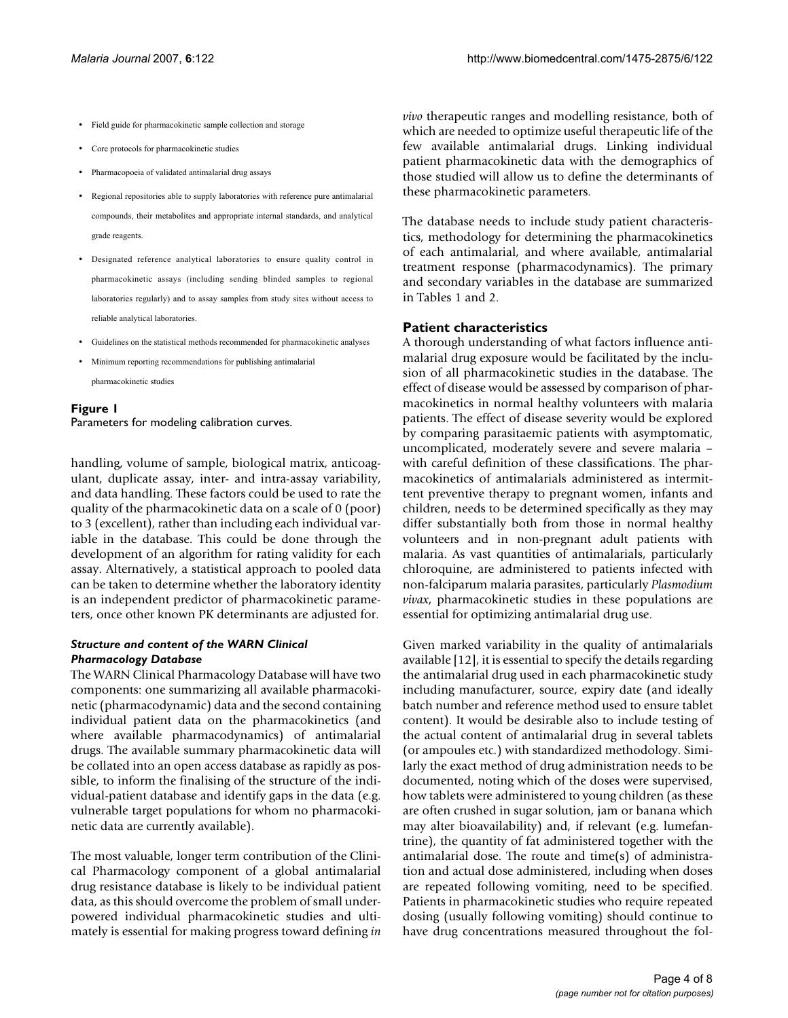- Field guide for pharmacokinetic sample collection and storage
- Core protocols for pharmacokinetic studies
- Pharmacopoeia of validated antimalarial drug assays
- Regional repositories able to supply laboratories with reference pure antimalarial compounds, their metabolites and appropriate internal standards, and analytical grade reagents.
- Designated reference analytical laboratories to ensure quality control in pharmacokinetic assays (including sending blinded samples to regional laboratories regularly) and to assay samples from study sites without access to reliable analytical laboratories.
- Guidelines on the statistical methods recommended for pharmacokinetic analyses
- Minimum reporting recommendations for publishing antimalarial pharmacokinetic studies

#### **Figure 1** Parameters for modeling calibration curves.

handling, volume of sample, biological matrix, anticoagulant, duplicate assay, inter- and intra-assay variability, and data handling. These factors could be used to rate the quality of the pharmacokinetic data on a scale of 0 (poor) to 3 (excellent), rather than including each individual variable in the database. This could be done through the development of an algorithm for rating validity for each assay. Alternatively, a statistical approach to pooled data can be taken to determine whether the laboratory identity is an independent predictor of pharmacokinetic parameters, once other known PK determinants are adjusted for.

#### *Structure and content of the WARN Clinical Pharmacology Database*

The WARN Clinical Pharmacology Database will have two components: one summarizing all available pharmacokinetic (pharmacodynamic) data and the second containing individual patient data on the pharmacokinetics (and where available pharmacodynamics) of antimalarial drugs. The available summary pharmacokinetic data will be collated into an open access database as rapidly as possible, to inform the finalising of the structure of the individual-patient database and identify gaps in the data (e.g. vulnerable target populations for whom no pharmacokinetic data are currently available).

The most valuable, longer term contribution of the Clinical Pharmacology component of a global antimalarial drug resistance database is likely to be individual patient data, as this should overcome the problem of small underpowered individual pharmacokinetic studies and ultimately is essential for making progress toward defining *in*

*vivo* therapeutic ranges and modelling resistance, both of which are needed to optimize useful therapeutic life of the few available antimalarial drugs. Linking individual patient pharmacokinetic data with the demographics of those studied will allow us to define the determinants of these pharmacokinetic parameters.

The database needs to include study patient characteristics, methodology for determining the pharmacokinetics of each antimalarial, and where available, antimalarial treatment response (pharmacodynamics). The primary and secondary variables in the database are summarized in Tables 1 and 2.

## **Patient characteristics**

A thorough understanding of what factors influence antimalarial drug exposure would be facilitated by the inclusion of all pharmacokinetic studies in the database. The effect of disease would be assessed by comparison of pharmacokinetics in normal healthy volunteers with malaria patients. The effect of disease severity would be explored by comparing parasitaemic patients with asymptomatic, uncomplicated, moderately severe and severe malaria – with careful definition of these classifications. The pharmacokinetics of antimalarials administered as intermittent preventive therapy to pregnant women, infants and children, needs to be determined specifically as they may differ substantially both from those in normal healthy volunteers and in non-pregnant adult patients with malaria. As vast quantities of antimalarials, particularly chloroquine, are administered to patients infected with non-falciparum malaria parasites, particularly *Plasmodium vivax*, pharmacokinetic studies in these populations are essential for optimizing antimalarial drug use.

Given marked variability in the quality of antimalarials available [12], it is essential to specify the details regarding the antimalarial drug used in each pharmacokinetic study including manufacturer, source, expiry date (and ideally batch number and reference method used to ensure tablet content). It would be desirable also to include testing of the actual content of antimalarial drug in several tablets (or ampoules etc.) with standardized methodology. Similarly the exact method of drug administration needs to be documented, noting which of the doses were supervised, how tablets were administered to young children (as these are often crushed in sugar solution, jam or banana which may alter bioavailability) and, if relevant (e.g. lumefantrine), the quantity of fat administered together with the antimalarial dose. The route and time(s) of administration and actual dose administered, including when doses are repeated following vomiting, need to be specified. Patients in pharmacokinetic studies who require repeated dosing (usually following vomiting) should continue to have drug concentrations measured throughout the fol-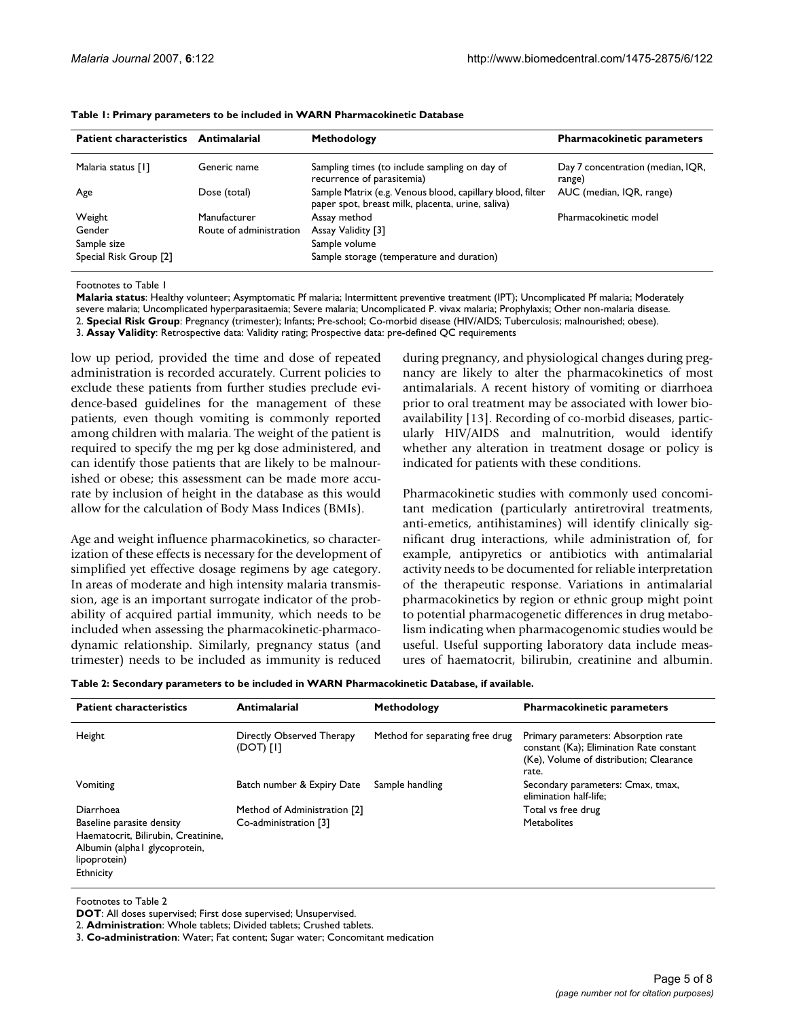| <b>Patient characteristics</b> | Antimalarial            | Methodology                                                                                                    | <b>Pharmacokinetic parameters</b>           |
|--------------------------------|-------------------------|----------------------------------------------------------------------------------------------------------------|---------------------------------------------|
| Malaria status [1]             | Generic name            | Sampling times (to include sampling on day of<br>recurrence of parasitemia)                                    | Day 7 concentration (median, IQR,<br>range) |
| Age                            | Dose (total)            | Sample Matrix (e.g. Venous blood, capillary blood, filter<br>paper spot, breast milk, placenta, urine, saliva) | AUC (median, IQR, range)                    |
| Weight                         | Manufacturer            | Assay method                                                                                                   | Pharmacokinetic model                       |
| Gender                         | Route of administration | Assay Validity [3]                                                                                             |                                             |
| Sample size                    |                         | Sample volume                                                                                                  |                                             |
| Special Risk Group [2]         |                         | Sample storage (temperature and duration)                                                                      |                                             |

|  |  | Table 1: Primary parameters to be included in WARN Pharmacokinetic Database |  |  |  |  |  |  |  |
|--|--|-----------------------------------------------------------------------------|--|--|--|--|--|--|--|
|--|--|-----------------------------------------------------------------------------|--|--|--|--|--|--|--|

Footnotes to Table 1

**Malaria status**: Healthy volunteer; Asymptomatic Pf malaria; Intermittent preventive treatment (IPT); Uncomplicated Pf malaria; Moderately severe malaria; Uncomplicated hyperparasitaemia; Severe malaria; Uncomplicated P. vivax malaria; Prophylaxis; Other non-malaria disease. 2. **Special Risk Group**: Pregnancy (trimester); Infants; Pre-school; Co-morbid disease (HIV/AIDS; Tuberculosis; malnourished; obese). 3. **Assay Validity**: Retrospective data: Validity rating; Prospective data: pre-defined QC requirements

low up period, provided the time and dose of repeated administration is recorded accurately. Current policies to exclude these patients from further studies preclude evidence-based guidelines for the management of these patients, even though vomiting is commonly reported among children with malaria. The weight of the patient is required to specify the mg per kg dose administered, and can identify those patients that are likely to be malnourished or obese; this assessment can be made more accurate by inclusion of height in the database as this would allow for the calculation of Body Mass Indices (BMIs).

Age and weight influence pharmacokinetics, so characterization of these effects is necessary for the development of simplified yet effective dosage regimens by age category. In areas of moderate and high intensity malaria transmission, age is an important surrogate indicator of the probability of acquired partial immunity, which needs to be included when assessing the pharmacokinetic-pharmacodynamic relationship. Similarly, pregnancy status (and trimester) needs to be included as immunity is reduced during pregnancy, and physiological changes during pregnancy are likely to alter the pharmacokinetics of most antimalarials. A recent history of vomiting or diarrhoea prior to oral treatment may be associated with lower bioavailability [13]. Recording of co-morbid diseases, particularly HIV/AIDS and malnutrition, would identify whether any alteration in treatment dosage or policy is indicated for patients with these conditions.

Pharmacokinetic studies with commonly used concomitant medication (particularly antiretroviral treatments, anti-emetics, antihistamines) will identify clinically significant drug interactions, while administration of, for example, antipyretics or antibiotics with antimalarial activity needs to be documented for reliable interpretation of the therapeutic response. Variations in antimalarial pharmacokinetics by region or ethnic group might point to potential pharmacogenetic differences in drug metabolism indicating when pharmacogenomic studies would be useful. Useful supporting laboratory data include measures of haematocrit, bilirubin, creatinine and albumin.

**Table 2: Secondary parameters to be included in WARN Pharmacokinetic Database, if available.**

| <b>Patient characteristics</b>                                                                                                 | <b>Antimalarial</b>                    | Methodology                     | <b>Pharmacokinetic parameters</b>                                                                                                   |
|--------------------------------------------------------------------------------------------------------------------------------|----------------------------------------|---------------------------------|-------------------------------------------------------------------------------------------------------------------------------------|
| Height                                                                                                                         | Directly Observed Therapy<br>(DOT) [1] | Method for separating free drug | Primary parameters: Absorption rate<br>constant (Ka); Elimination Rate constant<br>(Ke), Volume of distribution; Clearance<br>rate. |
| Vomiting                                                                                                                       | Batch number & Expiry Date             | Sample handling                 | Secondary parameters: Cmax, tmax,<br>elimination half-life:                                                                         |
| Diarrhoea                                                                                                                      | Method of Administration [2]           |                                 | Total vs free drug                                                                                                                  |
| Baseline parasite density<br>Haematocrit, Bilirubin, Creatinine,<br>Albumin (alphal glycoprotein,<br>lipoprotein)<br>Ethnicity | Co-administration [3]                  |                                 | <b>Metabolites</b>                                                                                                                  |

Footnotes to Table 2

**DOT**: All doses supervised; First dose supervised; Unsupervised.

2. **Administration**: Whole tablets; Divided tablets; Crushed tablets.

3. **Co-administration**: Water; Fat content; Sugar water; Concomitant medication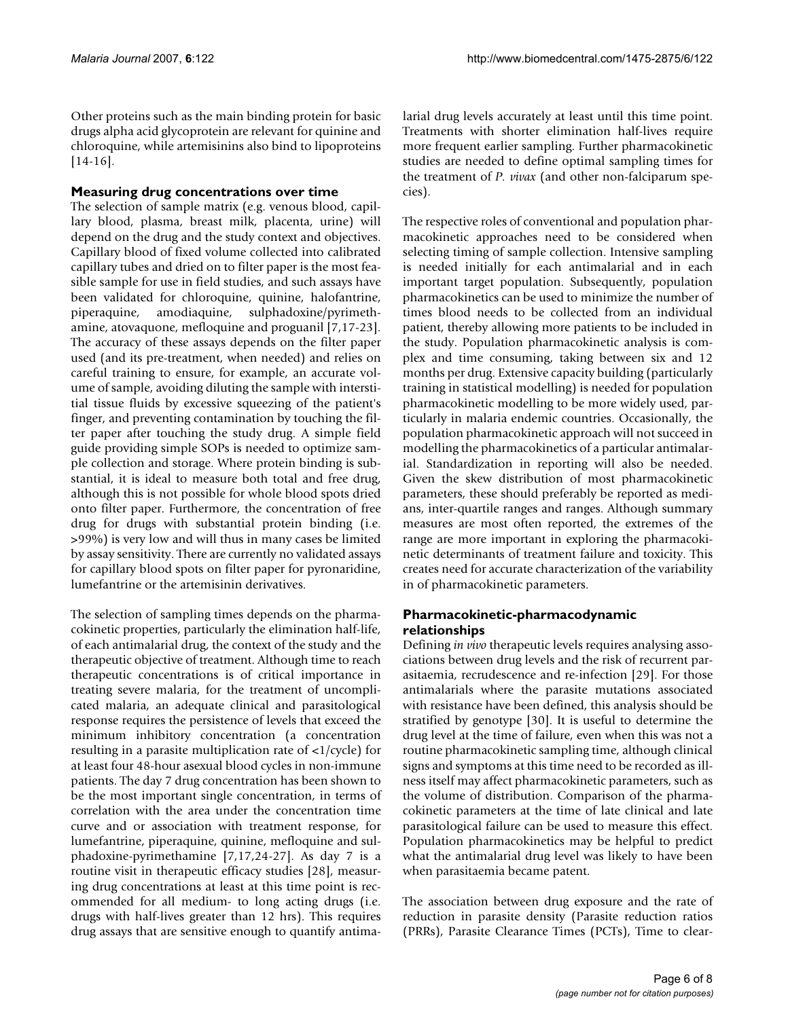Other proteins such as the main binding protein for basic drugs alpha acid glycoprotein are relevant for quinine and chloroquine, while artemisinins also bind to lipoproteins [14-16].

## **Measuring drug concentrations over time**

The selection of sample matrix (e.g. venous blood, capillary blood, plasma, breast milk, placenta, urine) will depend on the drug and the study context and objectives. Capillary blood of fixed volume collected into calibrated capillary tubes and dried on to filter paper is the most feasible sample for use in field studies, and such assays have been validated for chloroquine, quinine, halofantrine, piperaquine, amodiaquine, sulphadoxine/pyrimethamine, atovaquone, mefloquine and proguanil [7,17-23]. The accuracy of these assays depends on the filter paper used (and its pre-treatment, when needed) and relies on careful training to ensure, for example, an accurate volume of sample, avoiding diluting the sample with interstitial tissue fluids by excessive squeezing of the patient's finger, and preventing contamination by touching the filter paper after touching the study drug. A simple field guide providing simple SOPs is needed to optimize sample collection and storage. Where protein binding is substantial, it is ideal to measure both total and free drug, although this is not possible for whole blood spots dried onto filter paper. Furthermore, the concentration of free drug for drugs with substantial protein binding (i.e. >99%) is very low and will thus in many cases be limited by assay sensitivity. There are currently no validated assays for capillary blood spots on filter paper for pyronaridine, lumefantrine or the artemisinin derivatives.

The selection of sampling times depends on the pharmacokinetic properties, particularly the elimination half-life, of each antimalarial drug, the context of the study and the therapeutic objective of treatment. Although time to reach therapeutic concentrations is of critical importance in treating severe malaria, for the treatment of uncomplicated malaria, an adequate clinical and parasitological response requires the persistence of levels that exceed the minimum inhibitory concentration (a concentration resulting in a parasite multiplication rate of <1/cycle) for at least four 48-hour asexual blood cycles in non-immune patients. The day 7 drug concentration has been shown to be the most important single concentration, in terms of correlation with the area under the concentration time curve and or association with treatment response, for lumefantrine, piperaquine, quinine, mefloquine and sulphadoxine-pyrimethamine [7,17,[24-](#page-7-0)27]. As day 7 is a routine visit in therapeutic efficacy studies [28], measuring drug concentrations at least at this time point is recommended for all medium- to long acting drugs (i.e. drugs with half-lives greater than 12 hrs). This requires drug assays that are sensitive enough to quantify antimalarial drug levels accurately at least until this time point. Treatments with shorter elimination half-lives require more frequent earlier sampling. Further pharmacokinetic studies are needed to define optimal sampling times for the treatment of *P. vivax* (and other non-falciparum species).

The respective roles of conventional and population pharmacokinetic approaches need to be considered when selecting timing of sample collection. Intensive sampling is needed initially for each antimalarial and in each important target population. Subsequently, population pharmacokinetics can be used to minimize the number of times blood needs to be collected from an individual patient, thereby allowing more patients to be included in the study. Population pharmacokinetic analysis is complex and time consuming, taking between six and 12 months per drug. Extensive capacity building (particularly training in statistical modelling) is needed for population pharmacokinetic modelling to be more widely used, particularly in malaria endemic countries. Occasionally, the population pharmacokinetic approach will not succeed in modelling the pharmacokinetics of a particular antimalarial. Standardization in reporting will also be needed. Given the skew distribution of most pharmacokinetic parameters, these should preferably be reported as medians, inter-quartile ranges and ranges. Although summary measures are most often reported, the extremes of the range are more important in exploring the pharmacokinetic determinants of treatment failure and toxicity. This creates need for accurate characterization of the variability in of pharmacokinetic parameters.

## **Pharmacokinetic-pharmacodynamic relationships**

Defining *in vivo* therapeutic levels requires analysing associations between drug levels and the risk of recurrent parasitaemia, recrudescence and re-infection [29]. For those antimalarials where the parasite mutations associated with resistance have been defined, this analysis should be stratified by genotype [30]. It is useful to determine the drug level at the time of failure, even when this was not a routine pharmacokinetic sampling time, although clinical signs and symptoms at this time need to be recorded as illness itself may affect pharmacokinetic parameters, such as the volume of distribution. Comparison of the pharmacokinetic parameters at the time of late clinical and late parasitological failure can be used to measure this effect. Population pharmacokinetics may be helpful to predict what the antimalarial drug level was likely to have been when parasitaemia became patent.

The association between drug exposure and the rate of reduction in parasite density (Parasite reduction ratios (PRRs), Parasite Clearance Times (PCTs), Time to clear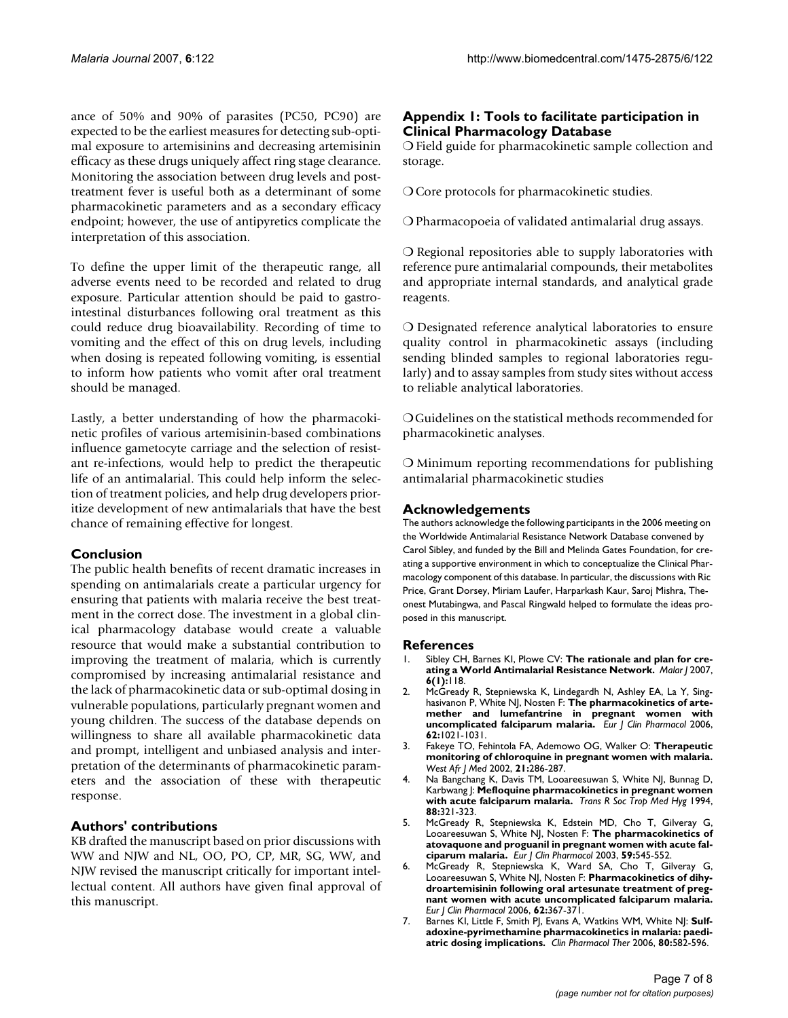ance of 50% and 90% of parasites (PC50, PC90) are expected to be the earliest measures for detecting sub-optimal exposure to artemisinins and decreasing artemisinin efficacy as these drugs uniquely affect ring stage clearance. Monitoring the association between drug levels and posttreatment fever is useful both as a determinant of some pharmacokinetic parameters and as a secondary efficacy endpoint; however, the use of antipyretics complicate the interpretation of this association.

To define the upper limit of the therapeutic range, all adverse events need to be recorded and related to drug exposure. Particular attention should be paid to gastrointestinal disturbances following oral treatment as this could reduce drug bioavailability. Recording of time to vomiting and the effect of this on drug levels, including when dosing is repeated following vomiting, is essential to inform how patients who vomit after oral treatment should be managed.

Lastly, a better understanding of how the pharmacokinetic profiles of various artemisinin-based combinations influence gametocyte carriage and the selection of resistant re-infections, would help to predict the therapeutic life of an antimalarial. This could help inform the selection of treatment policies, and help drug developers prioritize development of new antimalarials that have the best chance of remaining effective for longest.

#### **Conclusion**

The public health benefits of recent dramatic increases in spending on antimalarials create a particular urgency for ensuring that patients with malaria receive the best treatment in the correct dose. The investment in a global clinical pharmacology database would create a valuable resource that would make a substantial contribution to improving the treatment of malaria, which is currently compromised by increasing antimalarial resistance and the lack of pharmacokinetic data or sub-optimal dosing in vulnerable populations, particularly pregnant women and young children. The success of the database depends on willingness to share all available pharmacokinetic data and prompt, intelligent and unbiased analysis and interpretation of the determinants of pharmacokinetic parameters and the association of these with therapeutic response.

#### **Authors' contributions**

KB drafted the manuscript based on prior discussions with WW and NJW and NL, OO, PO, CP, MR, SG, WW, and NJW revised the manuscript critically for important intellectual content. All authors have given final approval of this manuscript.

### **Appendix 1: Tools to facilitate participation in Clinical Pharmacology Database**

❍ Field guide for pharmacokinetic sample collection and storage.

❍ Core protocols for pharmacokinetic studies.

❍ Pharmacopoeia of validated antimalarial drug assays.

❍ Regional repositories able to supply laboratories with reference pure antimalarial compounds, their metabolites and appropriate internal standards, and analytical grade reagents.

❍ Designated reference analytical laboratories to ensure quality control in pharmacokinetic assays (including sending blinded samples to regional laboratories regularly) and to assay samples from study sites without access to reliable analytical laboratories.

❍ Guidelines on the statistical methods recommended for pharmacokinetic analyses.

❍ Minimum reporting recommendations for publishing antimalarial pharmacokinetic studies

#### **Acknowledgements**

The authors acknowledge the following participants in the 2006 meeting on the Worldwide Antimalarial Resistance Network Database convened by Carol Sibley, and funded by the Bill and Melinda Gates Foundation, for creating a supportive environment in which to conceptualize the Clinical Pharmacology component of this database. In particular, the discussions with Ric Price, Grant Dorsey, Miriam Laufer, Harparkash Kaur, Saroj Mishra, Theonest Mutabingwa, and Pascal Ringwald helped to formulate the ideas proposed in this manuscript.

#### **References**

- 1. Sibley CH, Barnes KI, Plowe CV: **[The rationale and plan for cre](http://www.ncbi.nlm.nih.gov/entrez/query.fcgi?cmd=Retrieve&db=PubMed&dopt=Abstract&list_uids=17822531)[ating a World Antimalarial Resistance Network.](http://www.ncbi.nlm.nih.gov/entrez/query.fcgi?cmd=Retrieve&db=PubMed&dopt=Abstract&list_uids=17822531)** *Malar J* 2007, **6(1):**118.
- 2. McGready R, Stepniewska K, Lindegardh N, Ashley EA, La Y, Singhasivanon P, White NJ, Nosten F: **[The pharmacokinetics of arte](http://www.ncbi.nlm.nih.gov/entrez/query.fcgi?cmd=Retrieve&db=PubMed&dopt=Abstract&list_uids=17053895)[mether and lumefantrine in pregnant women with](http://www.ncbi.nlm.nih.gov/entrez/query.fcgi?cmd=Retrieve&db=PubMed&dopt=Abstract&list_uids=17053895) [uncomplicated falciparum malaria.](http://www.ncbi.nlm.nih.gov/entrez/query.fcgi?cmd=Retrieve&db=PubMed&dopt=Abstract&list_uids=17053895)** *Eur J Clin Pharmacol* 2006, **62:**1021-1031.
- 3. Fakeye TO, Fehintola FA, Ademowo OG, Walker O: **[Therapeutic](http://www.ncbi.nlm.nih.gov/entrez/query.fcgi?cmd=Retrieve&db=PubMed&dopt=Abstract&list_uids=12665265) [monitoring of chloroquine in pregnant women with malaria.](http://www.ncbi.nlm.nih.gov/entrez/query.fcgi?cmd=Retrieve&db=PubMed&dopt=Abstract&list_uids=12665265)** *West Afr J Med* 2002, **21:**286-287.
- 4. Na Bangchang K, Davis TM, Looareesuwan S, White NJ, Bunnag D, Karbwang J: **[Mefloquine pharmacokinetics in pregnant women](http://www.ncbi.nlm.nih.gov/entrez/query.fcgi?cmd=Retrieve&db=PubMed&dopt=Abstract&list_uids=7974678) [with acute falciparum malaria.](http://www.ncbi.nlm.nih.gov/entrez/query.fcgi?cmd=Retrieve&db=PubMed&dopt=Abstract&list_uids=7974678)** *Trans R Soc Trop Med Hyg* 1994, **88:**321-323.
- 5. McGready R, Stepniewska K, Edstein MD, Cho T, Gilveray G, Looareesuwan S, White NJ, Nosten F: **[The pharmacokinetics of](http://www.ncbi.nlm.nih.gov/entrez/query.fcgi?cmd=Retrieve&db=PubMed&dopt=Abstract&list_uids=12955371) [atovaquone and proguanil in pregnant women with acute fal](http://www.ncbi.nlm.nih.gov/entrez/query.fcgi?cmd=Retrieve&db=PubMed&dopt=Abstract&list_uids=12955371)[ciparum malaria.](http://www.ncbi.nlm.nih.gov/entrez/query.fcgi?cmd=Retrieve&db=PubMed&dopt=Abstract&list_uids=12955371)** *Eur J Clin Pharmacol* 2003, **59:**545-552.
- 6. McGready R, Stepniewska K, Ward SA, Cho T, Gilveray G, Looareesuwan S, White NJ, Nosten F: **[Pharmacokinetics of dihy](http://www.ncbi.nlm.nih.gov/entrez/query.fcgi?cmd=Retrieve&db=PubMed&dopt=Abstract&list_uids=16552504)[droartemisinin following oral artesunate treatment of preg](http://www.ncbi.nlm.nih.gov/entrez/query.fcgi?cmd=Retrieve&db=PubMed&dopt=Abstract&list_uids=16552504)nant women with acute uncomplicated falciparum malaria.** *Eur J Clin Pharmacol* 2006, **62:**367-371.
- 7. Barnes KI, Little F, Smith PJ, Evans A, Watkins WM, White NJ: **[Sulf](http://www.ncbi.nlm.nih.gov/entrez/query.fcgi?cmd=Retrieve&db=PubMed&dopt=Abstract&list_uids=17178260)[adoxine-pyrimethamine pharmacokinetics in malaria: paedi](http://www.ncbi.nlm.nih.gov/entrez/query.fcgi?cmd=Retrieve&db=PubMed&dopt=Abstract&list_uids=17178260)[atric dosing implications.](http://www.ncbi.nlm.nih.gov/entrez/query.fcgi?cmd=Retrieve&db=PubMed&dopt=Abstract&list_uids=17178260)** *Clin Pharmacol Ther* 2006, **80:**582-596.